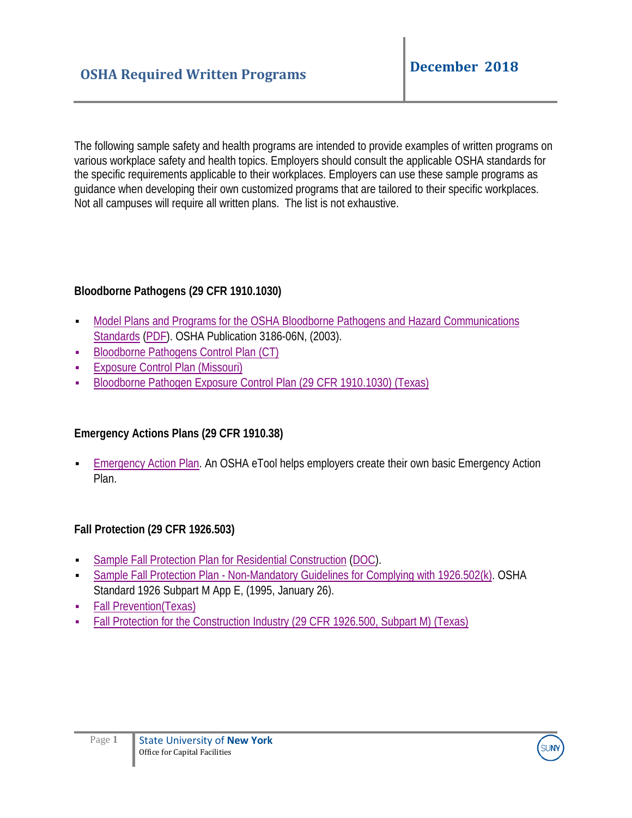The following sample safety and health programs are intended to provide examples of written programs on various workplace safety and health topics. Employers should consult the applicable OSHA standards for the specific requirements applicable to their workplaces. Employers can use these sample programs as guidance when developing their own customized programs that are tailored to their specific workplaces. Not all campuses will require all written plans. The list is not exhaustive.

### **Bloodborne Pathogens (29 CFR 1910.1030)**

- [Model Plans and Programs for the OSHA Bloodborne Pathogens and Hazard Communications](https://www.osha.gov/Publications/osha3186.html) [Standards](https://www.osha.gov/Publications/osha3186.html) [\(PDF\)](https://www.osha.gov/Publications/osha3186.pdf). OSHA Publication 3186-06N, (2003).
- [Bloodborne Pathogens Control Plan](http://www.ctdol.state.ct.us/osha/sample-BloodCont.htm) (CT)
- **[Exposure Control Plan](https://labor.mo.gov/DLS/WorkplaceSafety/model_exposure) (Missouri)**
- [Bloodborne Pathogen Exposure Control Plan \(29 CFR 1910.1030\)](https://www.tdi.texas.gov/pubs/videoresource/obloodbornepath.doc) (Texas)

# **Emergency Actions Plans (29 CFR 1910.38)**

 [Emergency Action Plan.](https://www.osha.gov/SLTC/etools/evacuation/experts.html) An OSHA eTool helps employers create their own basic Emergency Action Plan.

### **Fall Protection (29 CFR 1926.503)**

- [Sample Fall Protection Plan for Residential Construction](https://www.osha.gov/doc/residential_fall_protection/sample_fall_protection.html) [\(DOC\)](https://www.osha.gov/doc/residential_fall_protection/sample_fall_protection.doc).
- [Sample Fall Protection Plan Non-Mandatory Guidelines for Complying with 1926.502\(k\).](https://www.osha.gov/pls/oshaweb/owadisp.show_document?p_table=STANDARDS&p_id=10927) OSHA Standard 1926 Subpart M App E, (1995, January 26).
- [Fall Prevention\(](http://www.osha.gov/pls/publications/publication.AthruZ?pType=AthruZ%23F)Texas)
- [Fall Protection for the Construction Industry \(29 CFR 1926.500, Subpart M\)](https://www.tdi.texas.gov/pubs/videoresource/ofallprotect.docx) (Texas)

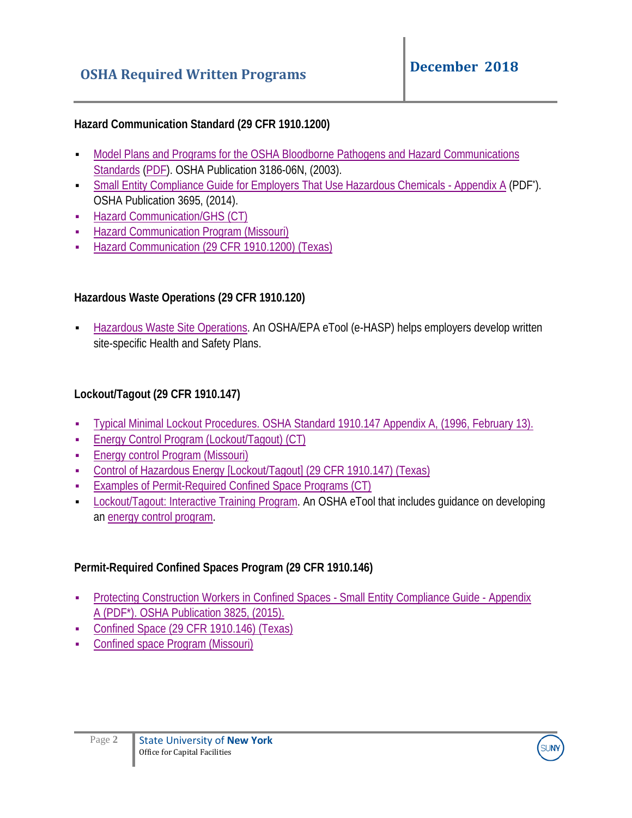### **Hazard Communication Standard (29 CFR 1910.1200)**

- [Model Plans and Programs for the OSHA Bloodborne Pathogens and Hazard Communications](https://www.osha.gov/Publications/osha3186.html) [Standards](https://www.osha.gov/Publications/osha3186.html) [\(PDF\)](https://www.osha.gov/Publications/osha3186.pdf). OSHA Publication 3186-06N, (2003).
- [Small Entity Compliance Guide for Employers That Use Hazardous Chemicals Appendix A](https://www.osha.gov/Publications/OSHA3695.pdf%23page=36) (PDF<sup>\*</sup>). OSHA Publication 3695, (2014).
- **-** [Hazard Communication/GHS](http://www.ctdol.state.ct.us/osha/HazComm/2013HazCommProgram.doc) (CT)
- [Hazard Communication Program \(](https://labor.mo.gov/DLS/WorkplaceSafety/hazard_commun)Missouri)
- [Hazard Communication \(29 CFR](https://www.tdi.texas.gov/pubs/videoresource/ohazcom.docx) 1910.1200) (Texas)

## **Hazardous Waste Operations (29 CFR 1910.120)**

 [Hazardous Waste Site Operations.](https://www.osha.gov/dep/etools/ehasp/index.html) An OSHA/EPA eTool (e-HASP) helps employers develop written site-specific Health and Safety Plans.

# **Lockout/Tagout (29 CFR 1910.147)**

- [Typical Minimal Lockout Procedures.](https://www.osha.gov/pls/oshaweb/owadisp.show_document?p_table=STANDARDS&p_id=9805) OSHA Standard 1910.147 Appendix A, (1996, February 13).
- [Energy Control Program \(Lockout/Tagout\)](http://www.ctdol.state.ct.us/osha/sample-locktagout.htm) (CT)
- [Energy control Program \(](https://labor.mo.gov/DLS/WorkplaceSafety/energy_control)Missouri)
- [Control of Hazardous Energy \[Lockout/Tagout\] \(29 CFR 1910.147\)](https://www.tdi.texas.gov/pubs/videoresource/oloto.doc) (Texas)
- [Examples of Permit-Required Confined Space Programs](http://www.ctdol.state.ct.us/osha/sample-permit.htm) (CT)
- [Lockout/Tagout: Interactive Training Program.](https://www.osha.gov/dts/osta/lototraining/index.html) An OSHA eTool that includes guidance on developing an [energy control program.](https://www.osha.gov/dts/osta/lototraining/hottopics/ht-engcont-2.html)

# **Permit-Required Confined Spaces Program (29 CFR 1910.146)**

- **[Protecting Construction Workers in Confined Spaces Small Entity Compliance Guide Appendix](https://www.osha.gov/Publications/OSHA3825.pdf%23page=44)** [A](https://www.osha.gov/Publications/OSHA3825.pdf%23page=44) (PDF\*). OSHA Publication 3825, (2015).
- [Confined Space \(29 CFR 1910.146\)](https://www.tdi.texas.gov/pubs/videoresource/oconfinedspac.doc) (Texas)
- [Confined space Program \(Missouri\)](https://labor.mo.gov/DLS/WorkplaceSafety/confined_spaces)